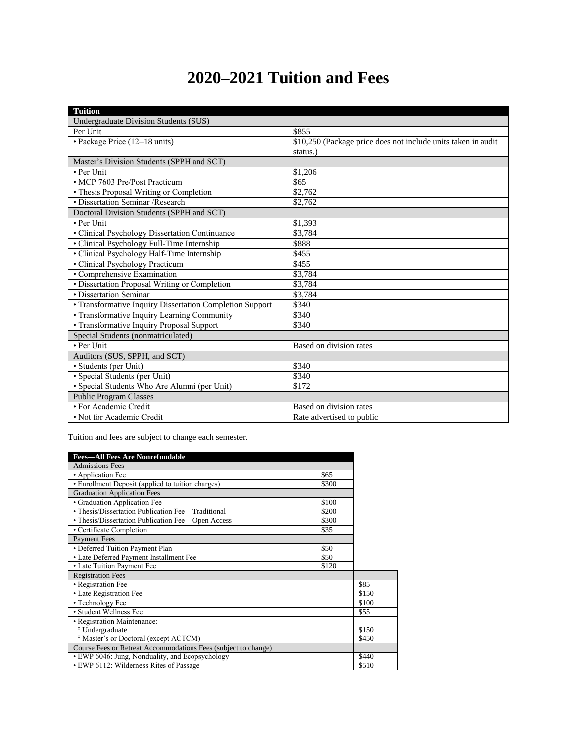## **2020–2021 Tuition and Fees**

| <b>Tuition</b>                                           |                                                               |
|----------------------------------------------------------|---------------------------------------------------------------|
| <b>Undergraduate Division Students (SUS)</b>             |                                                               |
| Per Unit                                                 | \$855                                                         |
| • Package Price (12–18 units)                            | \$10,250 (Package price does not include units taken in audit |
|                                                          | status.)                                                      |
| Master's Division Students (SPPH and SCT)                |                                                               |
| • Per Unit                                               | \$1,206                                                       |
| · MCP 7603 Pre/Post Practicum                            | \$65                                                          |
| • Thesis Proposal Writing or Completion                  | \$2,762                                                       |
| • Dissertation Seminar / Research                        | \$2,762                                                       |
| Doctoral Division Students (SPPH and SCT)                |                                                               |
| • Per Unit                                               | \$1,393                                                       |
| • Clinical Psychology Dissertation Continuance           | \$3.784                                                       |
| • Clinical Psychology Full-Time Internship               | \$888                                                         |
| • Clinical Psychology Half-Time Internship               | \$455                                                         |
| · Clinical Psychology Practicum                          | \$455                                                         |
| • Comprehensive Examination                              | \$3,784                                                       |
| · Dissertation Proposal Writing or Completion            | \$3.784                                                       |
| • Dissertation Seminar                                   | \$3.784                                                       |
| • Transformative Inquiry Dissertation Completion Support | \$340                                                         |
| • Transformative Inquiry Learning Community              | \$340                                                         |
| • Transformative Inquiry Proposal Support                | \$340                                                         |
| Special Students (nonmatriculated)                       |                                                               |
| • Per Unit                                               | Based on division rates                                       |
| Auditors (SUS, SPPH, and SCT)                            |                                                               |
| · Students (per Unit)                                    | \$340                                                         |
| · Special Students (per Unit)                            | \$340                                                         |
| · Special Students Who Are Alumni (per Unit)             | \$172                                                         |
| <b>Public Program Classes</b>                            |                                                               |
| • For Academic Credit                                    | Based on division rates                                       |
| • Not for Academic Credit                                | Rate advertised to public                                     |

Tuition and fees are subject to change each semester.

| <b>Fees-All Fees Are Nonrefundable</b>                         |       |       |
|----------------------------------------------------------------|-------|-------|
| <b>Admissions Fees</b>                                         |       |       |
| • Application Fee                                              | \$65  |       |
| • Enrollment Deposit (applied to tuition charges)              | \$300 |       |
| <b>Graduation Application Fees</b>                             |       |       |
| • Graduation Application Fee                                   | \$100 |       |
| • Thesis/Dissertation Publication Fee-Traditional              | \$200 |       |
| • Thesis/Dissertation Publication Fee-Open Access              | \$300 |       |
| • Certificate Completion                                       | \$35  |       |
| <b>Payment Fees</b>                                            |       |       |
| • Deferred Tuition Payment Plan                                | \$50  |       |
| • Late Deferred Payment Installment Fee                        | \$50  |       |
| • Late Tuition Payment Fee                                     | \$120 |       |
| <b>Registration Fees</b>                                       |       |       |
| • Registration Fee                                             |       | \$85  |
| • Late Registration Fee                                        |       | \$150 |
| • Technology Fee                                               |       | \$100 |
| • Student Wellness Fee                                         |       | \$55  |
| • Registration Maintenance:                                    |       |       |
| <sup>o</sup> Undergraduate                                     |       | \$150 |
| <sup>o</sup> Master's or Doctoral (except ACTCM)               |       | \$450 |
| Course Fees or Retreat Accommodations Fees (subject to change) |       |       |
| · EWP 6046: Jung, Nonduality, and Ecopsychology                |       | \$440 |
| • EWP 6112: Wilderness Rites of Passage                        |       | \$510 |